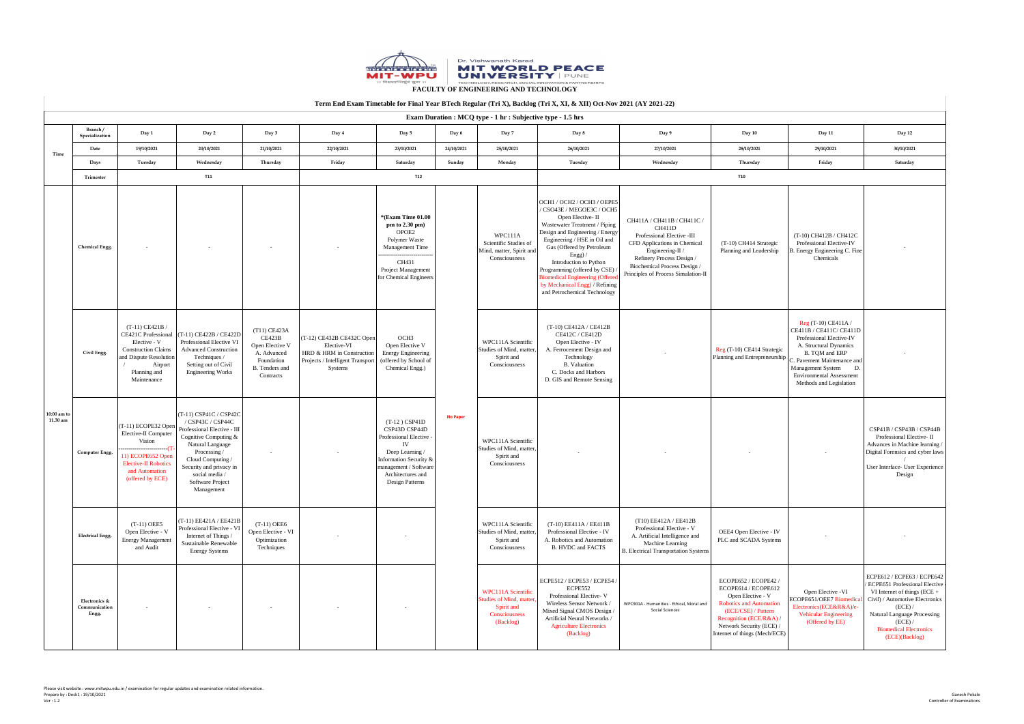|                           | TVIIII DRU DAUIII THIRROIC IVI THIAI TVAI DTVCH INGAIAI (TITA), DACHOG (TITA) AI, WAIH) OU TWY 2021 (AT 2021 22)<br><b>Exam Duration : MCQ type - 1 hr : Subjective type - 1.5 hrs</b> |                                                                                                                                                   |                                                                                                                                                                                                                                                    |                                                                                                         |                                                                                                                         |                                                                                                                                                                                           |                 |                                                                                                   |                                                                                                                                                                                                                                                                                                                                                                                           |                                                                                                                                                                                                                            |                                                                                                                                                                                                                   |                                                                                                                                                                                                                                                        |                                                                                                                                                                                                                                                        |
|---------------------------|----------------------------------------------------------------------------------------------------------------------------------------------------------------------------------------|---------------------------------------------------------------------------------------------------------------------------------------------------|----------------------------------------------------------------------------------------------------------------------------------------------------------------------------------------------------------------------------------------------------|---------------------------------------------------------------------------------------------------------|-------------------------------------------------------------------------------------------------------------------------|-------------------------------------------------------------------------------------------------------------------------------------------------------------------------------------------|-----------------|---------------------------------------------------------------------------------------------------|-------------------------------------------------------------------------------------------------------------------------------------------------------------------------------------------------------------------------------------------------------------------------------------------------------------------------------------------------------------------------------------------|----------------------------------------------------------------------------------------------------------------------------------------------------------------------------------------------------------------------------|-------------------------------------------------------------------------------------------------------------------------------------------------------------------------------------------------------------------|--------------------------------------------------------------------------------------------------------------------------------------------------------------------------------------------------------------------------------------------------------|--------------------------------------------------------------------------------------------------------------------------------------------------------------------------------------------------------------------------------------------------------|
|                           | Branch/<br>Specialization                                                                                                                                                              | Day 1                                                                                                                                             | Day 2                                                                                                                                                                                                                                              | Day 3                                                                                                   | Day 4                                                                                                                   | Day 5                                                                                                                                                                                     | Day 6           | Day 7                                                                                             | Day 8                                                                                                                                                                                                                                                                                                                                                                                     | Day 9                                                                                                                                                                                                                      | Day 10                                                                                                                                                                                                            | <b>Day 11</b>                                                                                                                                                                                                                                          | Day 12                                                                                                                                                                                                                                                 |
| Time                      | Date                                                                                                                                                                                   | 19/10/2021                                                                                                                                        | 20/10/2021                                                                                                                                                                                                                                         | 21/10/2021                                                                                              | 22/10/2021                                                                                                              | 23/10/2021                                                                                                                                                                                | 24/10/2021      | 25/10/2021                                                                                        | 26/10/2021                                                                                                                                                                                                                                                                                                                                                                                | 27/10/2021                                                                                                                                                                                                                 | 28/10/2021                                                                                                                                                                                                        | 29/10/2021                                                                                                                                                                                                                                             | 30/10/2021                                                                                                                                                                                                                                             |
|                           | Days                                                                                                                                                                                   | Tuesday                                                                                                                                           | Wednesday                                                                                                                                                                                                                                          | Thursday                                                                                                | Friday                                                                                                                  | Saturday                                                                                                                                                                                  | Sunday          | Monday                                                                                            | Tuesday                                                                                                                                                                                                                                                                                                                                                                                   | Wednesday                                                                                                                                                                                                                  | Thursday                                                                                                                                                                                                          | Friday                                                                                                                                                                                                                                                 | Saturday                                                                                                                                                                                                                                               |
|                           | Trimester                                                                                                                                                                              |                                                                                                                                                   | <b>T11</b>                                                                                                                                                                                                                                         |                                                                                                         |                                                                                                                         | <b>T12</b>                                                                                                                                                                                |                 |                                                                                                   |                                                                                                                                                                                                                                                                                                                                                                                           |                                                                                                                                                                                                                            | <b>T10</b>                                                                                                                                                                                                        |                                                                                                                                                                                                                                                        |                                                                                                                                                                                                                                                        |
| $10:00$ am to<br>11.30 am | <b>Chemical Engg.</b>                                                                                                                                                                  |                                                                                                                                                   |                                                                                                                                                                                                                                                    |                                                                                                         |                                                                                                                         | <b>*(Exam Time 01.00)</b><br>pm to $2.30$ pm)<br>OPOE2<br>Polymer Waste<br><b>Management Time</b><br>CH431<br><b>Project Management</b><br>for Chemical Engineers                         |                 | WPC111A<br>Scientific Studies of<br>Mind, matter, Spirit and<br>Consciousness                     | OCH1 / OCH2 / OCH3 / OEPE5 <br>/ CSO43E / MEGOE3C / OCH5<br>Open Elective-II<br>Wastewater Treatment / Piping<br>Design and Engineering / Energy<br>Engineering / HSE in Oil and<br>Gas (Offered by Petroleum<br>Engg $)/$<br>Introduction to Python<br>Programming (offered by CSE)<br>Biomedical Engineering (Offered<br>by Mechanical Engg) / Refining<br>and Petrochemical Technology | CH411A / CH411B / CH411C /<br>CH411D<br>Professional Elective -III<br>CFD Applications in Chemical<br>Engineering-II /<br>Refinery Process Design /<br>Biochemical Process Design /<br>Principles of Process Simulation-II | (T-10) CH414 Strategic<br>Planning and Leadership                                                                                                                                                                 | $(T-10)$ CH412B / CH412C<br><b>Professional Elective-IV</b><br>B. Energy Engineering C. Fine<br>Chemicals                                                                                                                                              |                                                                                                                                                                                                                                                        |
|                           | Civil Engg.                                                                                                                                                                            | $(T-11)$ CE421B /<br>Elective - V<br><b>Construction Claims</b><br>and Dispute Resolution<br>Airport<br>Planning and<br>Maintenance               | CE421C Professional $\vert$ (T-11) CE422B / CE422D<br>Professional Elective VI<br><b>Advanced Construction</b><br>Techniques /<br>Setting out of Civil<br><b>Engineering Works</b>                                                                 | $(T11)$ CE423A<br>CE423B<br>Open Elective V<br>A. Advanced<br>Foundation<br>B. Tenders and<br>Contracts | $(CI-12)$ CE432B CE432C Open<br>Elective-VI<br>HRD & HRM in Construction<br>Projects / Intelligent Transport<br>Systems | OCH <sub>3</sub><br>Open Elective V<br><b>Energy Engineering</b><br>(offered by School of<br>Chemical Engg.)                                                                              | <b>No Paper</b> | WPC111A Scientific<br>Studies of Mind, matter,<br>Spirit and<br>Consciousness                     | $(T-10)$ CE412A / CE412B<br><b>CE412C / CE412D</b><br>Open Elective - IV<br>A. Ferrocement Design and<br>Technology<br><b>B.</b> Valuation<br>C. Docks and Harbors<br>D. GIS and Remote Sensing                                                                                                                                                                                           |                                                                                                                                                                                                                            | Reg (T-10) CE414 Strategic<br>Planning and Entrepreneurship                                                                                                                                                       | $Reg(T-10) CE411A/$<br>CE411B / CE411C/ CE411D<br><b>Professional Elective-IV</b><br>A. Structural Dynamics<br>B. TQM and ERP<br>C. Pavement Maintenance and<br><b>Management System</b><br><b>Environmental Assessment</b><br>Methods and Legislation |                                                                                                                                                                                                                                                        |
|                           | <b>Computer Engg.</b>                                                                                                                                                                  | $(T-11)$ ECOPE32 Open<br>Elective-II Computer<br>Vision<br>11) ECOPE652 Open<br><b>Elective-II Robotics</b><br>and Automation<br>(offered by ECE) | $(CT-11)$ CSP41C / CSP42C<br>$/$ CSP43C $/$ CSP44C<br>Professional Elective - III<br>Cognitive Computing &<br>Natural Language<br>Processing /<br>Cloud Computing /<br>Security and privacy in<br>social media /<br>Software Project<br>Management | $\sim$                                                                                                  | $\sim$                                                                                                                  | $(T-12)$ CSP41D<br>CSP43D CSP44D<br>Professional Elective<br>IV<br>Deep Learning /<br>Information Security $\&$<br>  management / Software<br>Architectures and<br><b>Design Patterns</b> |                 | WPC111A Scientific<br>Studies of Mind, matter,<br>Spirit and<br>Consciousness                     |                                                                                                                                                                                                                                                                                                                                                                                           |                                                                                                                                                                                                                            |                                                                                                                                                                                                                   |                                                                                                                                                                                                                                                        | CSP41B / CSP43B / CSP44B<br>Professional Elective-II<br>Advances in Machine learning.<br>Digital Forensics and cyber laws<br>User Interface - User Experience<br>Design                                                                                |
|                           | <b>Electrical Engg.</b>                                                                                                                                                                | $(T-11)$ OEE5<br>Open Elective - V<br><b>Energy Management</b><br>and Audit                                                                       | $(T-11)EE421A/EE421B$<br>Professional Elective - VI<br>Internet of Things /<br><b>Sustainable Renewable</b><br><b>Energy Systems</b>                                                                                                               | $(T-11)$ OEE6<br>Open Elective - VI<br>Optimization<br>Techniques                                       |                                                                                                                         |                                                                                                                                                                                           |                 | WPC111A Scientific<br>Studies of Mind, matter,<br>Spirit and<br>Consciousness                     | $(T-10)$ EE411A / EE411B<br>Professional Elective - IV<br>A. Robotics and Automation<br><b>B. HVDC and FACTS</b>                                                                                                                                                                                                                                                                          | (T10) EE412A / EE412B<br>Professional Elective - V<br>A. Artificial Intelligence and<br><b>Machine Learning</b><br><b>B.</b> Electrical Transportation Systems                                                             | OEE4 Open Elective - IV<br>PLC and SCADA Systems                                                                                                                                                                  |                                                                                                                                                                                                                                                        |                                                                                                                                                                                                                                                        |
|                           | Electronics &<br>Communication<br>Engg.                                                                                                                                                |                                                                                                                                                   |                                                                                                                                                                                                                                                    |                                                                                                         |                                                                                                                         |                                                                                                                                                                                           |                 | <b>WPC111A Scientific</b><br>Studies of Mind, matter,<br>Spirit and<br>Consciousness<br>(Backlog) | ECPE512 / ECPE53 / ECPE54 /<br>ECPE552<br>Professional Elective-V<br>Wireless Sensor Network /<br>Mixed Signal CMOS Design /<br>Artificial Neural Networks /<br><b>Agriculture Electronics</b><br>(Backlog)                                                                                                                                                                               | WPC901A - Humanities - Ethical, Moral and<br><b>Social Sciences</b>                                                                                                                                                        | ECOPE652 / ECOPE42 /<br>ECOPE614 / ECOPE612<br>Open Elective - V<br><b>Robotics and Automation</b><br>(ECE/CSE) / Pattern<br>Recognition (ECE/R&A) /<br>Network Security (ECE) /<br>Internet of things (Mech/ECE) | Open Elective -VI<br>ECOPE651/OEE7 Biomedic<br>Electronics(ECE&R&A)/e-<br><b>Vehicular Engineering</b><br>(Offered by EE)                                                                                                                              | ECPE612 / ECPE63 / ECPE642<br><b>ECPE651 Professional Elective</b><br>VI Internet of things $(ECE +$<br>Civil) / Automotive Electronics<br>(ECE) /<br><b>Natural Language Processing</b><br>(ECE) /<br><b>Biomedical Electronics</b><br>(ECE)(Backlog) |

### **FACULTY OF ENGINEERING AND TECHNOLOGY**



# **Term End Exam Timetable for Final Year BTech Regular (Tri X), Backlog (Tri X, XI, & XII) Oct-Nov 2021 (AY 2021-22)**

Please visit website : www.mitwpu.edu.in / examination for regular updates and examination related information. Prepare by : Desk1 : 19/10/2021 Ver : 1.2